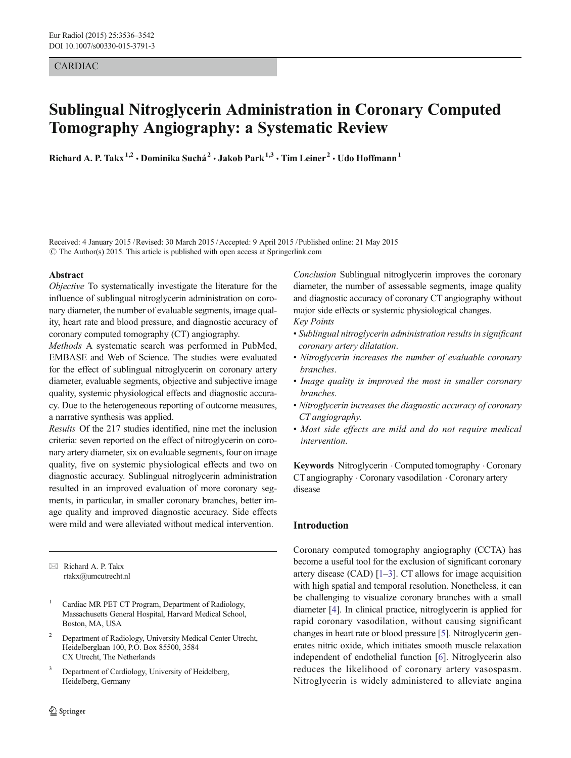# CARDIAC

# Sublingual Nitroglycerin Administration in Coronary Computed Tomography Angiography: a Systematic Review

Richard A. P. Takx<sup>1,2</sup> · Dominika Suchá<sup>2</sup> · Jakob Park<sup>1,3</sup> · Tim Leiner<sup>2</sup> · Udo Hoffmann<sup>1</sup>

Received: 4 January 2015 /Revised: 30 March 2015 /Accepted: 9 April 2015 /Published online: 21 May 2015 # The Author(s) 2015. This article is published with open access at Springerlink.com

#### Abstract

Objective To systematically investigate the literature for the influence of sublingual nitroglycerin administration on coronary diameter, the number of evaluable segments, image quality, heart rate and blood pressure, and diagnostic accuracy of coronary computed tomography (CT) angiography.

Methods A systematic search was performed in PubMed, EMBASE and Web of Science. The studies were evaluated for the effect of sublingual nitroglycerin on coronary artery diameter, evaluable segments, objective and subjective image quality, systemic physiological effects and diagnostic accuracy. Due to the heterogeneous reporting of outcome measures, a narrative synthesis was applied.

Results Of the 217 studies identified, nine met the inclusion criteria: seven reported on the effect of nitroglycerin on coronary artery diameter, six on evaluable segments, four on image quality, five on systemic physiological effects and two on diagnostic accuracy. Sublingual nitroglycerin administration resulted in an improved evaluation of more coronary segments, in particular, in smaller coronary branches, better image quality and improved diagnostic accuracy. Side effects were mild and were alleviated without medical intervention.

 $\boxtimes$  Richard A. P. Takx rtakx@umcutrecht.nl

- <sup>1</sup> Cardiac MR PET CT Program, Department of Radiology, Massachusetts General Hospital, Harvard Medical School, Boston, MA, USA
- <sup>2</sup> Department of Radiology, University Medical Center Utrecht, Heidelberglaan 100, P.O. Box 85500, 3584 CX Utrecht, The Netherlands
- <sup>3</sup> Department of Cardiology, University of Heidelberg, Heidelberg, Germany

Conclusion Sublingual nitroglycerin improves the coronary diameter, the number of assessable segments, image quality and diagnostic accuracy of coronary CT angiography without major side effects or systemic physiological changes.

Key Points

- Sublingual nitroglycerin administration results in significant coronary artery dilatation.
- Nitroglycerin increases the number of evaluable coronary branches.
- Image quality is improved the most in smaller coronary branches.
- Nitroglycerin increases the diagnostic accuracy of coronary CT angiography.
- Most side effects are mild and do not require medical intervention.

Keywords Nitroglycerin .Computed tomography .Coronary CT angiography . Coronary vasodilation . Coronary artery disease

# Introduction

Coronary computed tomography angiography (CCTA) has become a useful tool for the exclusion of significant coronary artery disease (CAD) [\[1](#page-5-0)–[3\]](#page-5-0). CT allows for image acquisition with high spatial and temporal resolution. Nonetheless, it can be challenging to visualize coronary branches with a small diameter [\[4](#page-5-0)]. In clinical practice, nitroglycerin is applied for rapid coronary vasodilation, without causing significant changes in heart rate or blood pressure [\[5\]](#page-5-0). Nitroglycerin generates nitric oxide, which initiates smooth muscle relaxation independent of endothelial function [\[6](#page-5-0)]. Nitroglycerin also reduces the likelihood of coronary artery vasospasm. Nitroglycerin is widely administered to alleviate angina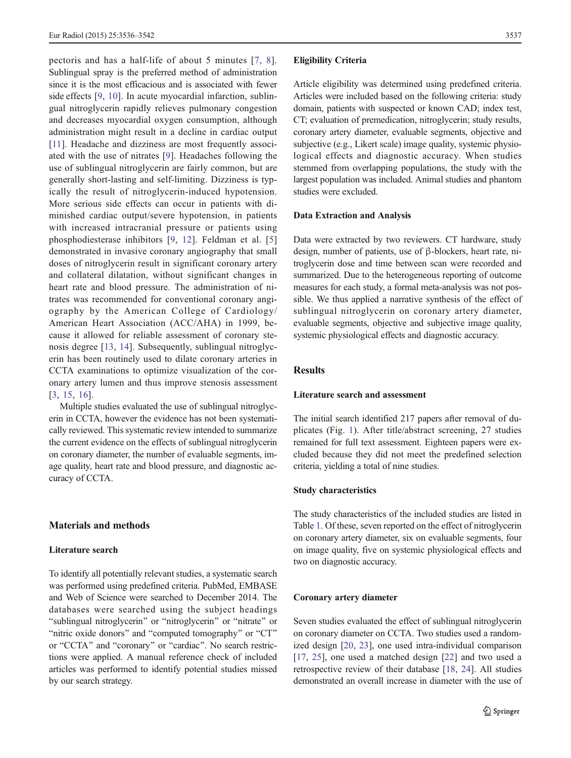pectoris and has a half-life of about 5 minutes [\[7,](#page-5-0) [8](#page-5-0)]. Sublingual spray is the preferred method of administration since it is the most efficacious and is associated with fewer side effects [[9,](#page-5-0) [10\]](#page-5-0). In acute myocardial infarction, sublingual nitroglycerin rapidly relieves pulmonary congestion and decreases myocardial oxygen consumption, although administration might result in a decline in cardiac output [\[11](#page-5-0)]. Headache and dizziness are most frequently associ-ated with the use of nitrates [[9\]](#page-5-0). Headaches following the use of sublingual nitroglycerin are fairly common, but are generally short-lasting and self-limiting. Dizziness is typically the result of nitroglycerin-induced hypotension. More serious side effects can occur in patients with diminished cardiac output/severe hypotension, in patients with increased intracranial pressure or patients using phosphodiesterase inhibitors [[9,](#page-5-0) [12](#page-5-0)]. Feldman et al. [[5\]](#page-5-0) demonstrated in invasive coronary angiography that small doses of nitroglycerin result in significant coronary artery and collateral dilatation, without significant changes in heart rate and blood pressure. The administration of nitrates was recommended for conventional coronary angiography by the American College of Cardiology/ American Heart Association (ACC/AHA) in 1999, because it allowed for reliable assessment of coronary stenosis degree [[13,](#page-5-0) [14\]](#page-5-0). Subsequently, sublingual nitroglycerin has been routinely used to dilate coronary arteries in CCTA examinations to optimize visualization of the coronary artery lumen and thus improve stenosis assessment [\[3](#page-5-0), [15,](#page-5-0) [16\]](#page-5-0).

Multiple studies evaluated the use of sublingual nitroglycerin in CCTA, however the evidence has not been systematically reviewed. This systematic review intended to summarize the current evidence on the effects of sublingual nitroglycerin on coronary diameter, the number of evaluable segments, image quality, heart rate and blood pressure, and diagnostic accuracy of CCTA.

# Materials and methods

#### Literature search

To identify all potentially relevant studies, a systematic search was performed using predefined criteria. PubMed, EMBASE and Web of Science were searched to December 2014. The databases were searched using the subject headings "sublingual nitroglycerin" or "nitroglycerin" or "nitrate" or "nitric oxide donors" and "computed tomography" or "CT" or "CCTA" and "coronary" or "cardiac". No search restrictions were applied. A manual reference check of included articles was performed to identify potential studies missed by our search strategy.

#### Eligibility Criteria

Article eligibility was determined using predefined criteria. Articles were included based on the following criteria: study domain, patients with suspected or known CAD; index test, CT; evaluation of premedication, nitroglycerin; study results, coronary artery diameter, evaluable segments, objective and subjective (e.g., Likert scale) image quality, systemic physiological effects and diagnostic accuracy. When studies stemmed from overlapping populations, the study with the largest population was included. Animal studies and phantom studies were excluded.

# Data Extraction and Analysis

Data were extracted by two reviewers. CT hardware, study design, number of patients, use of β-blockers, heart rate, nitroglycerin dose and time between scan were recorded and summarized. Due to the heterogeneous reporting of outcome measures for each study, a formal meta-analysis was not possible. We thus applied a narrative synthesis of the effect of sublingual nitroglycerin on coronary artery diameter, evaluable segments, objective and subjective image quality, systemic physiological effects and diagnostic accuracy.

# Results

# Literature search and assessment

The initial search identified 217 papers after removal of duplicates (Fig. [1](#page-2-0)). After title/abstract screening, 27 studies remained for full text assessment. Eighteen papers were excluded because they did not meet the predefined selection criteria, yielding a total of nine studies.

# Study characteristics

The study characteristics of the included studies are listed in Table [1.](#page-3-0) Of these, seven reported on the effect of nitroglycerin on coronary artery diameter, six on evaluable segments, four on image quality, five on systemic physiological effects and two on diagnostic accuracy.

### Coronary artery diameter

Seven studies evaluated the effect of sublingual nitroglycerin on coronary diameter on CCTA. Two studies used a randomized design [[20,](#page-5-0) [23\]](#page-5-0), one used intra-individual comparison [\[17](#page-5-0), [25\]](#page-5-0), one used a matched design [[22\]](#page-5-0) and two used a retrospective review of their database [\[18](#page-5-0), [24](#page-5-0)]. All studies demonstrated an overall increase in diameter with the use of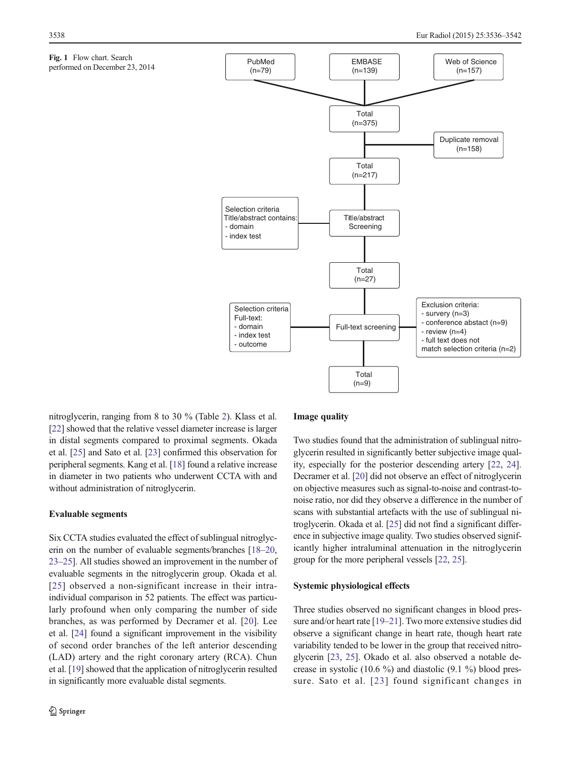<span id="page-2-0"></span>



nitroglycerin, ranging from 8 to 30 % (Table [2](#page-3-0)). Klass et al. [\[22\]](#page-5-0) showed that the relative vessel diameter increase is larger in distal segments compared to proximal segments. Okada et al. [\[25](#page-5-0)] and Sato et al. [\[23](#page-5-0)] confirmed this observation for peripheral segments. Kang et al. [\[18\]](#page-5-0) found a relative increase in diameter in two patients who underwent CCTA with and without administration of nitroglycerin.

#### Evaluable segments

Six CCTA studies evaluated the effect of sublingual nitroglycerin on the number of evaluable segments/branches [\[18](#page-5-0)–[20,](#page-5-0) [23](#page-5-0)–[25](#page-5-0)]. All studies showed an improvement in the number of evaluable segments in the nitroglycerin group. Okada et al. [[25](#page-5-0)] observed a non-significant increase in their intraindividual comparison in 52 patients. The effect was particularly profound when only comparing the number of side branches, as was performed by Decramer et al. [[20\]](#page-5-0). Lee et al. [[24](#page-5-0)] found a significant improvement in the visibility of second order branches of the left anterior descending (LAD) artery and the right coronary artery (RCA). Chun et al. [[19](#page-5-0)] showed that the application of nitroglycerin resulted in significantly more evaluable distal segments.

# Image quality

Two studies found that the administration of sublingual nitroglycerin resulted in significantly better subjective image quality, especially for the posterior descending artery [\[22](#page-5-0), [24\]](#page-5-0). Decramer et al. [[20\]](#page-5-0) did not observe an effect of nitroglycerin on objective measures such as signal-to-noise and contrast-tonoise ratio, nor did they observe a difference in the number of scans with substantial artefacts with the use of sublingual nitroglycerin. Okada et al. [\[25\]](#page-5-0) did not find a significant difference in subjective image quality. Two studies observed significantly higher intraluminal attenuation in the nitroglycerin group for the more peripheral vessels [\[22,](#page-5-0) [25\]](#page-5-0).

#### Systemic physiological effects

Three studies observed no significant changes in blood pressure and/or heart rate [\[19](#page-5-0)–[21\]](#page-5-0). Two more extensive studies did observe a significant change in heart rate, though heart rate variability tended to be lower in the group that received nitroglycerin [[23,](#page-5-0) [25\]](#page-5-0). Okado et al. also observed a notable decrease in systolic (10.6 %) and diastolic (9.1 %) blood pressure. Sato et al. [[23\]](#page-5-0) found significant changes in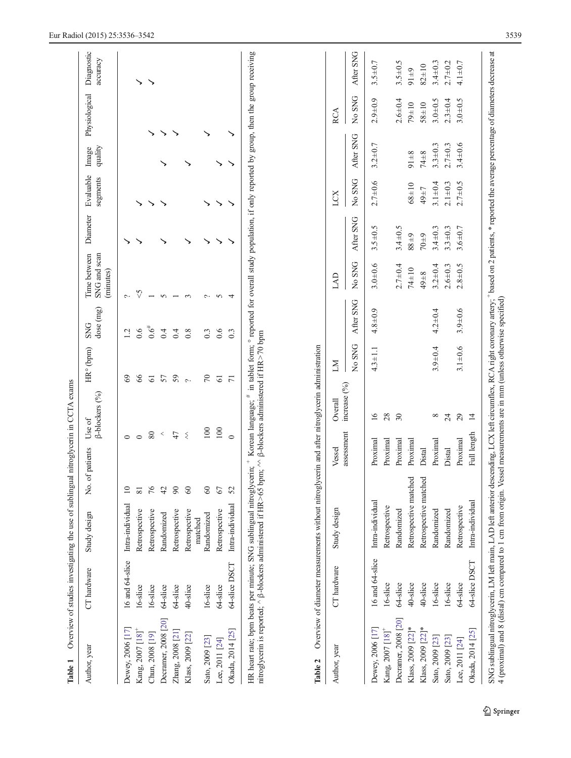<span id="page-3-0"></span>

| Author, year                       | CT hardware     | Study design                      | No. of patients    | Use of      | $\beta$ -blockers (%) | HR° (bpm)       | dose (mg)<br><b>SNG</b> | SNG and scan<br>Time between<br>(minutes) | Diameter      | Evaluable<br>segments | quality<br>Image | Physiological | Diagnostic<br>accuracy |
|------------------------------------|-----------------|-----------------------------------|--------------------|-------------|-----------------------|-----------------|-------------------------|-------------------------------------------|---------------|-----------------------|------------------|---------------|------------------------|
| Dewey, 2006 [17]                   | 16 and 64-slice | Intra-individual                  | $\Xi$              | $\circ$     |                       | $\mathcal{S}$   | 12                      | ç.                                        |               |                       |                  |               |                        |
| Kang, 2007 [18]                    | 16-slice        | Retrospective                     | $\overline{\bf 8}$ | $\circ$     |                       | 66              | 0.6                     | $\heartsuit$                              |               |                       |                  |               | ↘                      |
| Chun, 2008 [19]                    | 16-slice        | Retrospective                     | 76                 | $80\,$      |                       | $\overline{61}$ | $0.6^{#}$               |                                           |               |                       |                  |               | ↘                      |
| Decramer, 2008 [20]                | 64-slice        | Randomized                        | 42                 | $\,<$       |                       | 57              | 0.4                     | $\sim$                                    |               |                       |                  | ↘             |                        |
| Zhang, 2008 [21]                   | 64-slice        | Retrospective                     | $\infty$           | 47          |                       | 59              | 0.4                     |                                           |               |                       |                  |               |                        |
| Klass, 2009 [22]                   | 40-slice        | Retrospective                     | 60                 | $\lesssim$  |                       | $\sim$          | 0.8                     |                                           |               |                       |                  |               |                        |
| Sato, 2009 [23]                    | 16-slice        | Randomized<br>matched             | $\infty$           | 100         |                       | $\sqrt{2}$      | 0.3                     | $\sim$                                    |               |                       |                  |               |                        |
|                                    | 64-slice        |                                   | 67                 | 100         |                       | 61              | 0.6                     |                                           |               |                       |                  |               |                        |
| Okada, 2014 [25]<br>Lee, 2011 [24] | 64-slice DSCT   | Intra-individual<br>Retrospective | 52                 | $\circ$     |                       | $\overline{7}$  | 0.3                     | $\sim$<br>4                               |               |                       |                  |               |                        |
| Author, year                       | CT hardware     | Study design                      |                    | Vessel      | Overall               | ΣХ              |                         | <b>GKT</b>                                |               | LCX                   |                  | <b>RCA</b>    |                        |
|                                    |                 |                                   |                    | assessment  | increase $(°0)$       | No SNG          | After SNG               | No SNG                                    | After SNG     | No SNG                | After SNG        | No SNG        | After SNG              |
| Dewey, 2006 [17]                   | 16 and 64-slice | Intra-individual                  |                    | Proximal    | $\overline{16}$       | $4.3 \pm 1.1$   | $4.8 + 0.9$             | $3.0 + 0.6$                               | $3.5 + 0.5$   | $2.7 \pm 0.6$         | $3.2 \pm 0.7$    | $2.9 + 0.9$   | $3.5 + 0.7$            |
| Kang, 2007 [18] <sup>+</sup>       | 16-slice        | Retrospective                     |                    | Proximal    | 28                    |                 |                         |                                           |               |                       |                  |               |                        |
| Decramer, 2008 [20]                | 64-slice        | Randomized                        |                    | Proximal    | $30\,$                |                 |                         | $2.7 \pm 0.4$                             | $3.4 \pm 0.5$ |                       |                  | $2.6 + 0.4$   | $3.5 + 0.5$            |
| Klass, 2009 [22]*                  | 40-slice        | Retrospective matched             |                    | Proximal    |                       |                 |                         | 74±10                                     | 6788          | $68 + 10$             | $91 + 8$         | $79 + 10$     | $91 + 9$               |
| Klass, 2009 [22]*                  | 40-slice        | Retrospective matched             |                    | Distal      |                       |                 |                         | $49 + 8$                                  | $70\pm9$      | 49±7                  | 74±8             | $58 + 10$     | $82 + 10$              |
| Sato, 2009 [23]                    | 16-slice        | Randomized                        |                    | Proximal    | $^{\circ}$            | $3.9 + 0.4$     | $4.2 + 0.4$             | $3.2 \pm 0.4$                             | $3.4 \pm 0.3$ | $3.1 \pm 0.4$         | $3.3 + 0.3$      | $3.0 + 0.5$   | $3.4 \pm 0.3$          |
| Sato, 2009 [23]                    | 16-slice        | Randomized                        |                    | Distal      | 24                    |                 |                         | $2.6 + 0.3$                               | $3.3 + 0.3$   | $2.1 \pm 0.3$         | $2.7 + 0.3$      | $2.3 \pm 0.4$ | $2.7 + 0.2$            |
| Lee, 2011 [24]                     | 64-slice        | Retrospective                     |                    | Proximal    | 29                    | $3.1 + 0.6$     | $3.9 + 0.6$             | $2.8 + 0.5$                               | $3.6 + 0.7$   | $2.7 + 0.5$           | $3.4 \pm 0.6$    | $3.0 + 0.5$   | $4.1 \pm 0.7$          |
| Okada, 2014 [25]                   | 64-slice DSCT   | Intra-individual                  |                    | Full length | $\overline{4}$        |                 |                         |                                           |               |                       |                  |               |                        |

 $\underline{\textcircled{\tiny 2}}$  Springer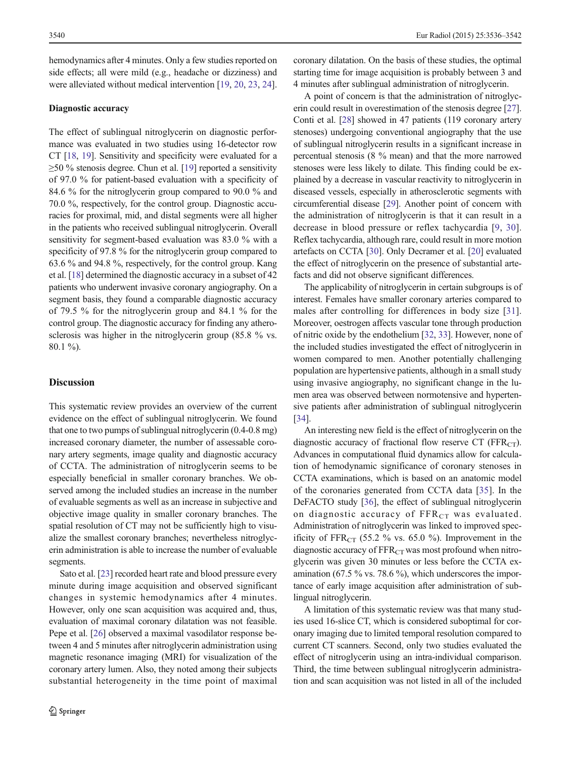hemodynamics after 4 minutes. Only a few studies reported on side effects; all were mild (e.g., headache or dizziness) and were alleviated without medical intervention [[19](#page-5-0), [20](#page-5-0), [23,](#page-5-0) [24\]](#page-5-0).

# Diagnostic accuracy

The effect of sublingual nitroglycerin on diagnostic performance was evaluated in two studies using 16-detector row CT [[18,](#page-5-0) [19\]](#page-5-0). Sensitivity and specificity were evaluated for a ≥50 % stenosis degree. Chun et al. [\[19\]](#page-5-0) reported a sensitivity of 97.0 % for patient-based evaluation with a specificity of 84.6 % for the nitroglycerin group compared to 90.0 % and 70.0 %, respectively, for the control group. Diagnostic accuracies for proximal, mid, and distal segments were all higher in the patients who received sublingual nitroglycerin. Overall sensitivity for segment-based evaluation was 83.0 % with a specificity of 97.8 % for the nitroglycerin group compared to 63.6 % and 94.8 %, respectively, for the control group. Kang et al. [\[18](#page-5-0)] determined the diagnostic accuracy in a subset of 42 patients who underwent invasive coronary angiography. On a segment basis, they found a comparable diagnostic accuracy of 79.5 % for the nitroglycerin group and 84.1 % for the control group. The diagnostic accuracy for finding any atherosclerosis was higher in the nitroglycerin group (85.8 % vs. 80.1 %).

# Discussion

This systematic review provides an overview of the current evidence on the effect of sublingual nitroglycerin. We found that one to two pumps of sublingual nitroglycerin (0.4-0.8 mg) increased coronary diameter, the number of assessable coronary artery segments, image quality and diagnostic accuracy of CCTA. The administration of nitroglycerin seems to be especially beneficial in smaller coronary branches. We observed among the included studies an increase in the number of evaluable segments as well as an increase in subjective and objective image quality in smaller coronary branches. The spatial resolution of CT may not be sufficiently high to visualize the smallest coronary branches; nevertheless nitroglycerin administration is able to increase the number of evaluable segments.

Sato et al. [\[23\]](#page-5-0) recorded heart rate and blood pressure every minute during image acquisition and observed significant changes in systemic hemodynamics after 4 minutes. However, only one scan acquisition was acquired and, thus, evaluation of maximal coronary dilatation was not feasible. Pepe et al. [\[26](#page-6-0)] observed a maximal vasodilator response between 4 and 5 minutes after nitroglycerin administration using magnetic resonance imaging (MRI) for visualization of the coronary artery lumen. Also, they noted among their subjects substantial heterogeneity in the time point of maximal coronary dilatation. On the basis of these studies, the optimal starting time for image acquisition is probably between 3 and 4 minutes after sublingual administration of nitroglycerin.

A point of concern is that the administration of nitroglycerin could result in overestimation of the stenosis degree [[27\]](#page-6-0). Conti et al. [\[28\]](#page-6-0) showed in 47 patients (119 coronary artery stenoses) undergoing conventional angiography that the use of sublingual nitroglycerin results in a significant increase in percentual stenosis (8 % mean) and that the more narrowed stenoses were less likely to dilate. This finding could be explained by a decrease in vascular reactivity to nitroglycerin in diseased vessels, especially in atherosclerotic segments with circumferential disease [\[29\]](#page-6-0). Another point of concern with the administration of nitroglycerin is that it can result in a decrease in blood pressure or reflex tachycardia [\[9,](#page-5-0) [30](#page-6-0)]. Reflex tachycardia, although rare, could result in more motion artefacts on CCTA [\[30](#page-6-0)]. Only Decramer et al. [\[20](#page-5-0)] evaluated the effect of nitroglycerin on the presence of substantial artefacts and did not observe significant differences.

The applicability of nitroglycerin in certain subgroups is of interest. Females have smaller coronary arteries compared to males after controlling for differences in body size [\[31](#page-6-0)]. Moreover, oestrogen affects vascular tone through production of nitric oxide by the endothelium [[32,](#page-6-0) [33](#page-6-0)]. However, none of the included studies investigated the effect of nitroglycerin in women compared to men. Another potentially challenging population are hypertensive patients, although in a small study using invasive angiography, no significant change in the lumen area was observed between normotensive and hypertensive patients after administration of sublingual nitroglycerin [\[34](#page-6-0)].

An interesting new field is the effect of nitroglycerin on the diagnostic accuracy of fractional flow reserve CT ( $FFR<sub>CT</sub>$ ). Advances in computational fluid dynamics allow for calculation of hemodynamic significance of coronary stenoses in CCTA examinations, which is based on an anatomic model of the coronaries generated from CCTA data [[35](#page-6-0)]. In the DeFACTO study [[36\]](#page-6-0), the effect of sublingual nitroglycerin on diagnostic accuracy of  $\text{FFR}_{CT}$  was evaluated. Administration of nitroglycerin was linked to improved specificity of  $FFR<sub>CT</sub>$  (55.2 % vs. 65.0 %). Improvement in the diagnostic accuracy of  $FFR<sub>CT</sub>$  was most profound when nitroglycerin was given 30 minutes or less before the CCTA examination (67.5 % vs. 78.6 %), which underscores the importance of early image acquisition after administration of sublingual nitroglycerin.

A limitation of this systematic review was that many studies used 16-slice CT, which is considered suboptimal for coronary imaging due to limited temporal resolution compared to current CT scanners. Second, only two studies evaluated the effect of nitroglycerin using an intra-individual comparison. Third, the time between sublingual nitroglycerin administration and scan acquisition was not listed in all of the included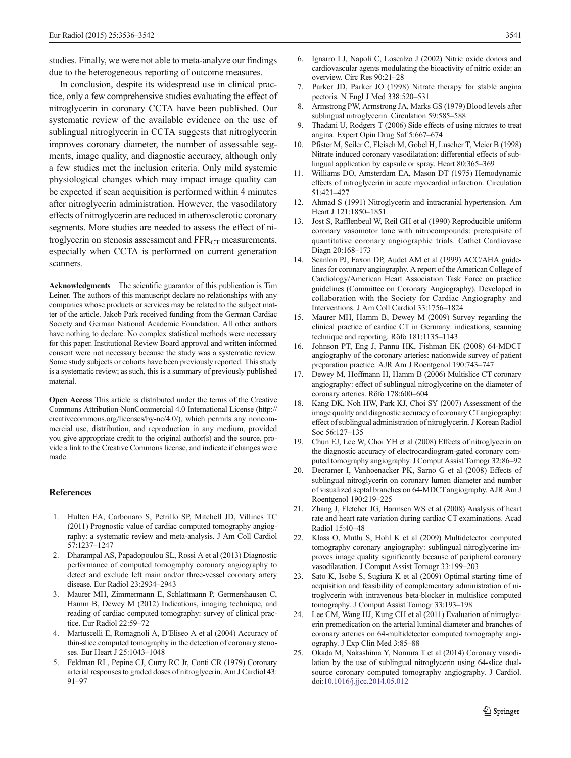<span id="page-5-0"></span>studies. Finally, we were not able to meta-analyze our findings due to the heterogeneous reporting of outcome measures.

In conclusion, despite its widespread use in clinical practice, only a few comprehensive studies evaluating the effect of nitroglycerin in coronary CCTA have been published. Our systematic review of the available evidence on the use of sublingual nitroglycerin in CCTA suggests that nitroglycerin improves coronary diameter, the number of assessable segments, image quality, and diagnostic accuracy, although only a few studies met the inclusion criteria. Only mild systemic physiological changes which may impact image quality can be expected if scan acquisition is performed within 4 minutes after nitroglycerin administration. However, the vasodilatory effects of nitroglycerin are reduced in atherosclerotic coronary segments. More studies are needed to assess the effect of nitroglycerin on stenosis assessment and  $\text{FFR}_{\text{CT}}$  measurements, especially when CCTA is performed on current generation scanners.

Acknowledgments The scientific guarantor of this publication is Tim Leiner. The authors of this manuscript declare no relationships with any companies whose products or services may be related to the subject matter of the article. Jakob Park received funding from the German Cardiac Society and German National Academic Foundation. All other authors have nothing to declare. No complex statistical methods were necessary for this paper. Institutional Review Board approval and written informed consent were not necessary because the study was a systematic review. Some study subjects or cohorts have been previously reported. This study is a systematic review; as such, this is a summary of previously published material.

Open Access This article is distributed under the terms of the Creative Commons Attribution-NonCommercial 4.0 International License (http:// creativecommons.org/licenses/by-nc/4.0/), which permits any noncommercial use, distribution, and reproduction in any medium, provided you give appropriate credit to the original author(s) and the source, provide a link to the Creative Commons license, and indicate if changes were made.

# References

- 1. Hulten EA, Carbonaro S, Petrillo SP, Mitchell JD, Villines TC (2011) Prognostic value of cardiac computed tomography angiography: a systematic review and meta-analysis. J Am Coll Cardiol 57:1237–1247
- 2. Dharampal AS, Papadopoulou SL, Rossi A et al (2013) Diagnostic performance of computed tomography coronary angiography to detect and exclude left main and/or three-vessel coronary artery disease. Eur Radiol 23:2934–2943
- 3. Maurer MH, Zimmermann E, Schlattmann P, Germershausen C, Hamm B, Dewey M (2012) Indications, imaging technique, and reading of cardiac computed tomography: survey of clinical practice. Eur Radiol 22:59–72
- 4. Martuscelli E, Romagnoli A, D'Eliseo A et al (2004) Accuracy of thin-slice computed tomography in the detection of coronary stenoses. Eur Heart J 25:1043–1048
- 5. Feldman RL, Pepine CJ, Curry RC Jr, Conti CR (1979) Coronary arterial responses to graded doses of nitroglycerin. Am J Cardiol 43: 91–97
- 6. Ignarro LJ, Napoli C, Loscalzo J (2002) Nitric oxide donors and cardiovascular agents modulating the bioactivity of nitric oxide: an overview. Circ Res 90:21–28
- 7. Parker JD, Parker JO (1998) Nitrate therapy for stable angina pectoris. N Engl J Med 338:520–531
- 8. Armstrong PW, Armstrong JA, Marks GS (1979) Blood levels after sublingual nitroglycerin. Circulation 59:585–588
- 9. Thadani U, Rodgers T (2006) Side effects of using nitrates to treat angina. Expert Opin Drug Saf 5:667–674
- 10. Pfister M, Seiler C, Fleisch M, Gobel H, Luscher T, Meier B (1998) Nitrate induced coronary vasodilatation: differential effects of sublingual application by capsule or spray. Heart 80:365–369
- 11. Williams DO, Amsterdam EA, Mason DT (1975) Hemodynamic effects of nitroglycerin in acute myocardial infarction. Circulation 51:421–427
- 12. Ahmad S (1991) Nitroglycerin and intracranial hypertension. Am Heart J 121:1850–1851
- 13. Jost S, Rafflenbeul W, Reil GH et al (1990) Reproducible uniform coronary vasomotor tone with nitrocompounds: prerequisite of quantitative coronary angiographic trials. Cathet Cardiovasc Diagn 20:168–173
- 14. Scanlon PJ, Faxon DP, Audet AM et al (1999) ACC/AHA guidelines for coronary angiography. A report of the American College of Cardiology/American Heart Association Task Force on practice guidelines (Committee on Coronary Angiography). Developed in collaboration with the Society for Cardiac Angiography and Interventions. J Am Coll Cardiol 33:1756–1824
- 15. Maurer MH, Hamm B, Dewey M (2009) Survey regarding the clinical practice of cardiac CT in Germany: indications, scanning technique and reporting. Röfo 181:1135–1143
- 16. Johnson PT, Eng J, Pannu HK, Fishman EK (2008) 64-MDCT angiography of the coronary arteries: nationwide survey of patient preparation practice. AJR Am J Roentgenol 190:743–747
- 17. Dewey M, Hoffmann H, Hamm B (2006) Multislice CT coronary angiography: effect of sublingual nitroglycerine on the diameter of coronary arteries. Röfo 178:600–604
- 18. Kang DK, Noh HW, Park KJ, Choi SY (2007) Assessment of the image quality and diagnostic accuracy of coronary CT angiography: effect of sublingual administration of nitroglycerin. J Korean Radiol Soc 56:127–135
- 19. Chun EJ, Lee W, Choi YH et al (2008) Effects of nitroglycerin on the diagnostic accuracy of electrocardiogram-gated coronary computed tomography angiography. J Comput Assist Tomogr 32:86–92
- 20. Decramer I, Vanhoenacker PK, Sarno G et al (2008) Effects of sublingual nitroglycerin on coronary lumen diameter and number of visualized septal branches on 64-MDCT angiography. AJR Am J Roentgenol 190:219–225
- 21. Zhang J, Fletcher JG, Harmsen WS et al (2008) Analysis of heart rate and heart rate variation during cardiac CT examinations. Acad Radiol 15:40–48
- 22. Klass O, Mutlu S, Hohl K et al (2009) Multidetector computed tomography coronary angiography: sublingual nitroglycerine improves image quality significantly because of peripheral coronary vasodilatation. J Comput Assist Tomogr 33:199–203
- 23. Sato K, Isobe S, Sugiura K et al (2009) Optimal starting time of acquisition and feasibility of complementary administration of nitroglycerin with intravenous beta-blocker in multislice computed tomography. J Comput Assist Tomogr 33:193–198
- 24. Lee CM, Wang HJ, Kung CH et al (2011) Evaluation of nitroglycerin premedication on the arterial luminal diameter and branches of coronary arteries on 64-multidetector computed tomography angiography. J Exp Clin Med 3:85–88
- 25. Okada M, Nakashima Y, Nomura T et al (2014) Coronary vasodilation by the use of sublingual nitroglycerin using 64-slice dualsource coronary computed tomography angiography. J Cardiol. doi[:10.1016/j.jjcc.2014.05.012](http://dx.doi.org/10.1016/j.jjcc.2014.05.012)